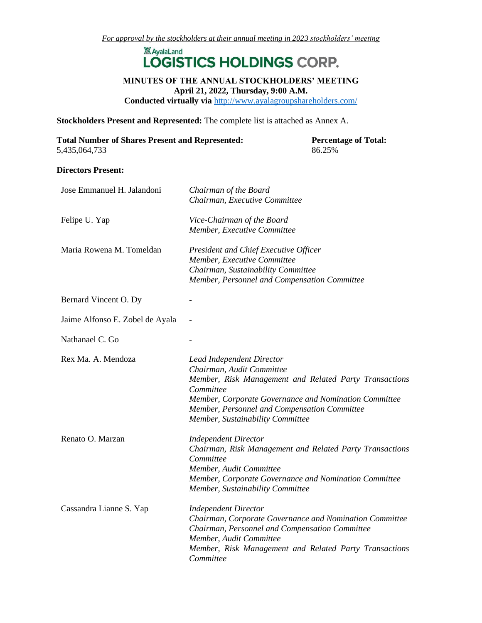## **XX** AyalaLand LOGISTICS HOLDINGS CORP.

## **MINUTES OF THE ANNUAL STOCKHOLDERS' MEETING April 21, 2022, Thursday, 9:00 A.M.**

**Conducted virtually via** <http://www.ayalagroupshareholders.com/>

**Stockholders Present and Represented:** The complete list is attached as Annex A.

| <b>Total Number of Shares Present and Represented:</b> | <b>Percentage of Total:</b> |
|--------------------------------------------------------|-----------------------------|
| 5,435,064,733                                          | 86.25%                      |

#### **Directors Present:**

| Jose Emmanuel H. Jalandoni      | Chairman of the Board                                               |
|---------------------------------|---------------------------------------------------------------------|
|                                 | Chairman, Executive Committee                                       |
| Felipe U. Yap                   | Vice-Chairman of the Board                                          |
|                                 | Member, Executive Committee                                         |
| Maria Rowena M. Tomeldan        | President and Chief Executive Officer                               |
|                                 | Member, Executive Committee                                         |
|                                 | Chairman, Sustainability Committee                                  |
|                                 | Member, Personnel and Compensation Committee                        |
| Bernard Vincent O. Dy           |                                                                     |
| Jaime Alfonso E. Zobel de Ayala |                                                                     |
| Nathanael C. Go                 |                                                                     |
|                                 |                                                                     |
| Rex Ma. A. Mendoza              | Lead Independent Director                                           |
|                                 | Chairman, Audit Committee                                           |
|                                 | Member, Risk Management and Related Party Transactions              |
|                                 | Committee                                                           |
|                                 | Member, Corporate Governance and Nomination Committee               |
|                                 | Member, Personnel and Compensation Committee                        |
|                                 | Member, Sustainability Committee                                    |
| Renato O. Marzan                | <b>Independent Director</b>                                         |
|                                 | Chairman, Risk Management and Related Party Transactions            |
|                                 | Committee                                                           |
|                                 | Member, Audit Committee                                             |
|                                 | Member, Corporate Governance and Nomination Committee               |
|                                 | Member, Sustainability Committee                                    |
| Cassandra Lianne S. Yap         | <b>Independent Director</b>                                         |
|                                 | Chairman, Corporate Governance and Nomination Committee             |
|                                 | Chairman, Personnel and Compensation Committee                      |
|                                 | Member, Audit Committee                                             |
|                                 | Member, Risk Management and Related Party Transactions<br>Committee |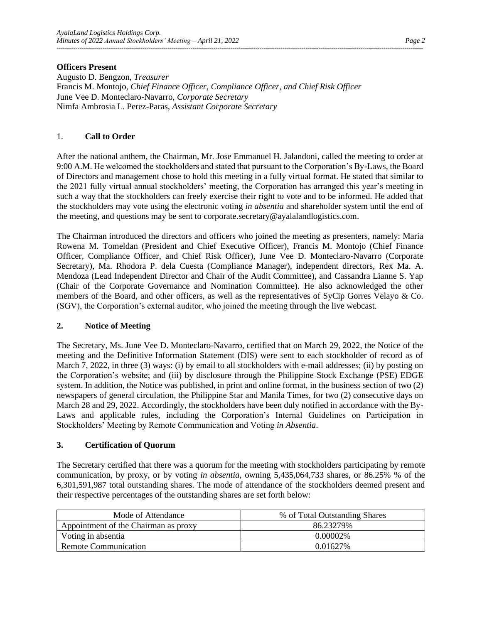## **Officers Present**

Augusto D. Bengzon, *Treasurer* Francis M. Montojo, *Chief Finance Officer, Compliance Officer, and Chief Risk Officer* June Vee D. Monteclaro-Navarro, *Corporate Secretary* Nimfa Ambrosia L. Perez-Paras, *Assistant Corporate Secretary*

## 1. **Call to Order**

After the national anthem, the Chairman, Mr. Jose Emmanuel H. Jalandoni, called the meeting to order at 9:00 A.M. He welcomed the stockholders and stated that pursuant to the Corporation's By-Laws, the Board of Directors and management chose to hold this meeting in a fully virtual format. He stated that similar to the 2021 fully virtual annual stockholders' meeting, the Corporation has arranged this year's meeting in such a way that the stockholders can freely exercise their right to vote and to be informed. He added that the stockholders may vote using the electronic voting *in absentia* and shareholder system until the end of the meeting, and questions may be sent to corporate.secretary@ayalalandlogistics.com.

The Chairman introduced the directors and officers who joined the meeting as presenters, namely: Maria Rowena M. Tomeldan (President and Chief Executive Officer), Francis M. Montojo (Chief Finance Officer, Compliance Officer, and Chief Risk Officer), June Vee D. Monteclaro-Navarro (Corporate Secretary), Ma. Rhodora P. dela Cuesta (Compliance Manager), independent directors, Rex Ma. A. Mendoza (Lead Independent Director and Chair of the Audit Committee), and Cassandra Lianne S. Yap (Chair of the Corporate Governance and Nomination Committee). He also acknowledged the other members of the Board, and other officers, as well as the representatives of SyCip Gorres Velayo & Co. (SGV), the Corporation's external auditor, who joined the meeting through the live webcast.

## **2. Notice of Meeting**

The Secretary, Ms. June Vee D. Monteclaro-Navarro, certified that on March 29, 2022, the Notice of the meeting and the Definitive Information Statement (DIS) were sent to each stockholder of record as of March 7, 2022, in three (3) ways: (i) by email to all stockholders with e-mail addresses; (ii) by posting on the Corporation's website; and (iii) by disclosure through the Philippine Stock Exchange (PSE) EDGE system. In addition, the Notice was published, in print and online format, in the business section of two (2) newspapers of general circulation, the Philippine Star and Manila Times, for two (2) consecutive days on March 28 and 29, 2022. Accordingly, the stockholders have been duly notified in accordance with the By-Laws and applicable rules, including the Corporation's Internal Guidelines on Participation in Stockholders' Meeting by Remote Communication and Voting *in Absentia*.

## **3. Certification of Quorum**

The Secretary certified that there was a quorum for the meeting with stockholders participating by remote communication, by proxy, or by voting *in absentia*, owning 5,435,064,733 shares, or 86.25% % of the 6,301,591,987 total outstanding shares. The mode of attendance of the stockholders deemed present and their respective percentages of the outstanding shares are set forth below:

| Mode of Attendance                   | % of Total Outstanding Shares |  |  |
|--------------------------------------|-------------------------------|--|--|
| Appointment of the Chairman as proxy | 86.23279%                     |  |  |
| Voting in absentia                   | $0.00002\%$                   |  |  |
| <b>Remote Communication</b>          | 0.01627%                      |  |  |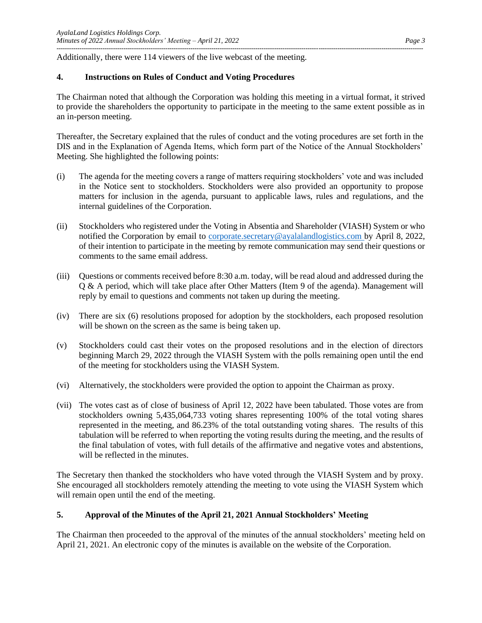Additionally, there were 114 viewers of the live webcast of the meeting.

## **4. Instructions on Rules of Conduct and Voting Procedures**

The Chairman noted that although the Corporation was holding this meeting in a virtual format, it strived to provide the shareholders the opportunity to participate in the meeting to the same extent possible as in an in-person meeting.

Thereafter, the Secretary explained that the rules of conduct and the voting procedures are set forth in the DIS and in the Explanation of Agenda Items, which form part of the Notice of the Annual Stockholders' Meeting. She highlighted the following points:

- (i) The agenda for the meeting covers a range of matters requiring stockholders' vote and was included in the Notice sent to stockholders. Stockholders were also provided an opportunity to propose matters for inclusion in the agenda, pursuant to applicable laws, rules and regulations, and the internal guidelines of the Corporation.
- (ii) Stockholders who registered under the Voting in Absentia and Shareholder (VIASH) System or who notified the Corporation by email to [corporate.secretary@ayalalandlogistics.com](mailto:corporate.secretary@ayalalandlogistics.com) by April 8, 2022, of their intention to participate in the meeting by remote communication may send their questions or comments to the same email address.
- (iii) Questions or comments received before 8:30 a.m. today, will be read aloud and addressed during the Q & A period, which will take place after Other Matters (Item 9 of the agenda). Management will reply by email to questions and comments not taken up during the meeting.
- (iv) There are six (6) resolutions proposed for adoption by the stockholders, each proposed resolution will be shown on the screen as the same is being taken up.
- (v) Stockholders could cast their votes on the proposed resolutions and in the election of directors beginning March 29, 2022 through the VIASH System with the polls remaining open until the end of the meeting for stockholders using the VIASH System.
- (vi) Alternatively, the stockholders were provided the option to appoint the Chairman as proxy.
- (vii) The votes cast as of close of business of April 12, 2022 have been tabulated. Those votes are from stockholders owning 5,435,064,733 voting shares representing 100% of the total voting shares represented in the meeting, and 86.23% of the total outstanding voting shares. The results of this tabulation will be referred to when reporting the voting results during the meeting, and the results of the final tabulation of votes, with full details of the affirmative and negative votes and abstentions, will be reflected in the minutes.

The Secretary then thanked the stockholders who have voted through the VIASH System and by proxy. She encouraged all stockholders remotely attending the meeting to vote using the VIASH System which will remain open until the end of the meeting.

## **5. Approval of the Minutes of the April 21, 2021 Annual Stockholders' Meeting**

The Chairman then proceeded to the approval of the minutes of the annual stockholders' meeting held on April 21, 2021. An electronic copy of the minutes is available on the website of the Corporation.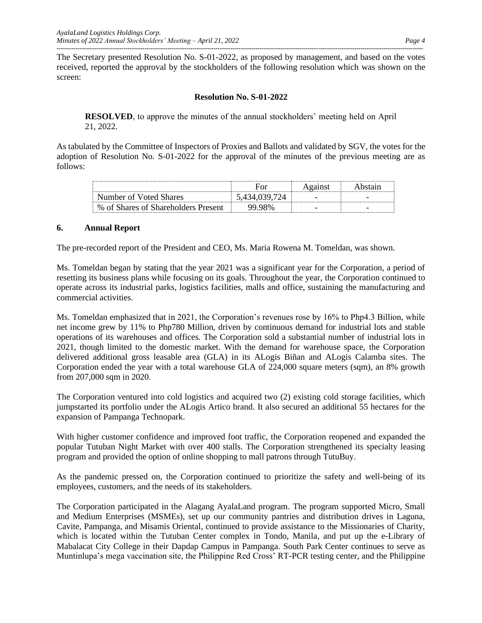The Secretary presented Resolution No. S-01-2022, as proposed by management, and based on the votes received, reported the approval by the stockholders of the following resolution which was shown on the screen:

## **Resolution No. S-01-2022**

**RESOLVED**, to approve the minutes of the annual stockholders' meeting held on April 21, 2022.

As tabulated by the Committee of Inspectors of Proxies and Ballots and validated by SGV, the votes for the adoption of Resolution No. S-01-2022 for the approval of the minutes of the previous meeting are as follows:

| Number of Voted Shares                             |  | - |
|----------------------------------------------------|--|---|
| of Shares of Shareholders Present<br>$\frac{0}{0}$ |  |   |

## **6. Annual Report**

The pre-recorded report of the President and CEO, Ms. Maria Rowena M. Tomeldan, was shown.

Ms. Tomeldan began by stating that the year 2021 was a significant year for the Corporation, a period of resetting its business plans while focusing on its goals. Throughout the year, the Corporation continued to operate across its industrial parks, logistics facilities, malls and office, sustaining the manufacturing and commercial activities.

Ms. Tomeldan emphasized that in 2021, the Corporation's revenues rose by 16% to Php4.3 Billion, while net income grew by 11% to Php780 Million, driven by continuous demand for industrial lots and stable operations of its warehouses and offices. The Corporation sold a substantial number of industrial lots in 2021, though limited to the domestic market. With the demand for warehouse space, the Corporation delivered additional gross leasable area (GLA) in its ALogis Biñan and ALogis Calamba sites. The Corporation ended the year with a total warehouse GLA of 224,000 square meters (sqm), an 8% growth from 207,000 sqm in 2020.

The Corporation ventured into cold logistics and acquired two (2) existing cold storage facilities, which jumpstarted its portfolio under the ALogis Artico brand. It also secured an additional 55 hectares for the expansion of Pampanga Technopark.

With higher customer confidence and improved foot traffic, the Corporation reopened and expanded the popular Tutuban Night Market with over 400 stalls. The Corporation strengthened its specialty leasing program and provided the option of online shopping to mall patrons through TutuBuy.

As the pandemic pressed on, the Corporation continued to prioritize the safety and well-being of its employees, customers, and the needs of its stakeholders.

The Corporation participated in the Alagang AyalaLand program. The program supported Micro, Small and Medium Enterprises (MSMEs), set up our community pantries and distribution drives in Laguna, Cavite, Pampanga, and Misamis Oriental, continued to provide assistance to the Missionaries of Charity, which is located within the Tutuban Center complex in Tondo, Manila, and put up the e-Library of Mabalacat City College in their Dapdap Campus in Pampanga. South Park Center continues to serve as Muntinlupa's mega vaccination site, the Philippine Red Cross' RT-PCR testing center, and the Philippine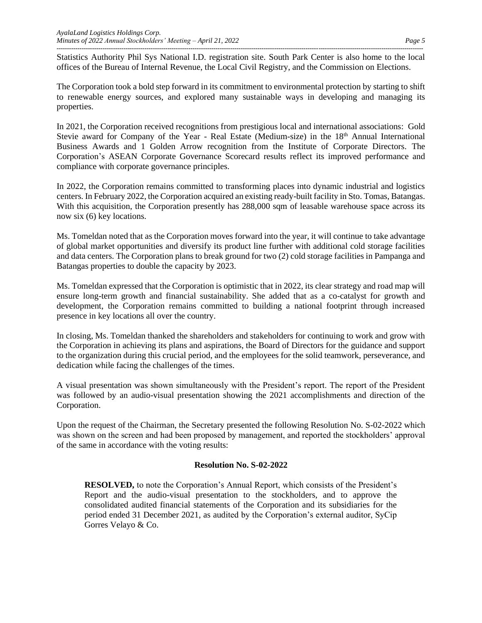Statistics Authority Phil Sys National I.D. registration site. South Park Center is also home to the local offices of the Bureau of Internal Revenue, the Local Civil Registry, and the Commission on Elections.

The Corporation took a bold step forward in its commitment to environmental protection by starting to shift to renewable energy sources, and explored many sustainable ways in developing and managing its properties.

In 2021, the Corporation received recognitions from prestigious local and international associations: Gold Stevie award for Company of the Year - Real Estate (Medium-size) in the 18<sup>th</sup> Annual International Business Awards and 1 Golden Arrow recognition from the Institute of Corporate Directors. The Corporation's ASEAN Corporate Governance Scorecard results reflect its improved performance and compliance with corporate governance principles.

In 2022, the Corporation remains committed to transforming places into dynamic industrial and logistics centers. In February 2022, the Corporation acquired an existing ready-built facility in Sto. Tomas, Batangas. With this acquisition, the Corporation presently has 288,000 sqm of leasable warehouse space across its now six (6) key locations.

Ms. Tomeldan noted that as the Corporation moves forward into the year, it will continue to take advantage of global market opportunities and diversify its product line further with additional cold storage facilities and data centers. The Corporation plans to break ground for two (2) cold storage facilities in Pampanga and Batangas properties to double the capacity by 2023.

Ms. Tomeldan expressed that the Corporation is optimistic that in 2022, its clear strategy and road map will ensure long-term growth and financial sustainability. She added that as a co-catalyst for growth and development, the Corporation remains committed to building a national footprint through increased presence in key locations all over the country.

In closing, Ms. Tomeldan thanked the shareholders and stakeholders for continuing to work and grow with the Corporation in achieving its plans and aspirations, the Board of Directors for the guidance and support to the organization during this crucial period, and the employees for the solid teamwork, perseverance, and dedication while facing the challenges of the times.

A visual presentation was shown simultaneously with the President's report. The report of the President was followed by an audio-visual presentation showing the 2021 accomplishments and direction of the Corporation.

Upon the request of the Chairman, the Secretary presented the following Resolution No. S-02-2022 which was shown on the screen and had been proposed by management, and reported the stockholders' approval of the same in accordance with the voting results:

## **Resolution No. S-02-2022**

**RESOLVED,** to note the Corporation's Annual Report, which consists of the President's Report and the audio-visual presentation to the stockholders, and to approve the consolidated audited financial statements of the Corporation and its subsidiaries for the period ended 31 December 2021, as audited by the Corporation's external auditor, SyCip Gorres Velayo & Co.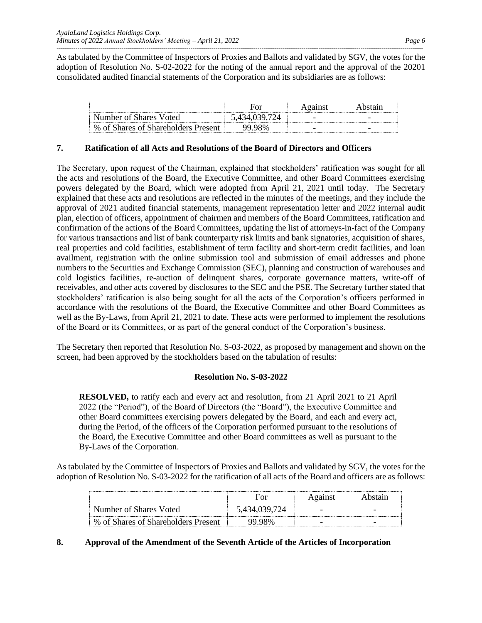As tabulated by the Committee of Inspectors of Proxies and Ballots and validated by SGV, the votes for the adoption of Resolution No. S-02-2022 for the noting of the annual report and the approval of the 20201 consolidated audited financial statements of the Corporation and its subsidiaries are as follows:

| Number of Shares Voted                    |       |   |
|-------------------------------------------|-------|---|
| of Shares of Shareholders Present<br>$\%$ | IXV/o | - |

## **7. Ratification of all Acts and Resolutions of the Board of Directors and Officers**

The Secretary, upon request of the Chairman, explained that stockholders' ratification was sought for all the acts and resolutions of the Board, the Executive Committee, and other Board Committees exercising powers delegated by the Board, which were adopted from April 21, 2021 until today. The Secretary explained that these acts and resolutions are reflected in the minutes of the meetings, and they include the approval of 2021 audited financial statements, management representation letter and 2022 internal audit plan, election of officers, appointment of chairmen and members of the Board Committees, ratification and confirmation of the actions of the Board Committees, updating the list of attorneys-in-fact of the Company for various transactions and list of bank counterparty risk limits and bank signatories, acquisition of shares, real properties and cold facilities, establishment of term facility and short-term credit facilities, and loan availment, registration with the online submission tool and submission of email addresses and phone numbers to the Securities and Exchange Commission (SEC), planning and construction of warehouses and cold logistics facilities, re-auction of delinquent shares, corporate governance matters, write-off of receivables, and other acts covered by disclosures to the SEC and the PSE. The Secretary further stated that stockholders' ratification is also being sought for all the acts of the Corporation's officers performed in accordance with the resolutions of the Board, the Executive Committee and other Board Committees as well as the By-Laws, from April 21, 2021 to date. These acts were performed to implement the resolutions of the Board or its Committees, or as part of the general conduct of the Corporation's business.

The Secretary then reported that Resolution No. S-03-2022, as proposed by management and shown on the screen, had been approved by the stockholders based on the tabulation of results:

## **Resolution No. S-03-2022**

**RESOLVED,** to ratify each and every act and resolution, from 21 April 2021 to 21 April 2022 (the "Period"), of the Board of Directors (the "Board"), the Executive Committee and other Board committees exercising powers delegated by the Board, and each and every act, during the Period, of the officers of the Corporation performed pursuant to the resolutions of the Board, the Executive Committee and other Board committees as well as pursuant to the By-Laws of the Corporation.

As tabulated by the Committee of Inspectors of Proxies and Ballots and validated by SGV, the votes for the adoption of Resolution No. S-03-2022 for the ratification of all acts of the Board and officers are as follows:

| Number of Shares Voted              |  |  |
|-------------------------------------|--|--|
| % of Shares of Shareholders Present |  |  |

## **8. Approval of the Amendment of the Seventh Article of the Articles of Incorporation**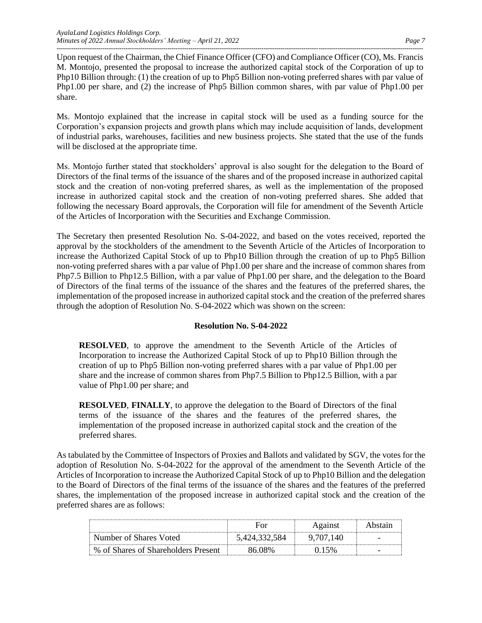Upon request of the Chairman, the Chief Finance Officer (CFO) and Compliance Officer (CO), Ms. Francis M. Montojo, presented the proposal to increase the authorized capital stock of the Corporation of up to Php10 Billion through: (1) the creation of up to Php5 Billion non-voting preferred shares with par value of Php1.00 per share, and (2) the increase of Php5 Billion common shares, with par value of Php1.00 per share.

Ms. Montojo explained that the increase in capital stock will be used as a funding source for the Corporation's expansion projects and growth plans which may include acquisition of lands, development of industrial parks, warehouses, facilities and new business projects. She stated that the use of the funds will be disclosed at the appropriate time.

Ms. Montojo further stated that stockholders' approval is also sought for the delegation to the Board of Directors of the final terms of the issuance of the shares and of the proposed increase in authorized capital stock and the creation of non-voting preferred shares, as well as the implementation of the proposed increase in authorized capital stock and the creation of non-voting preferred shares. She added that following the necessary Board approvals, the Corporation will file for amendment of the Seventh Article of the Articles of Incorporation with the Securities and Exchange Commission.

The Secretary then presented Resolution No. S-04-2022, and based on the votes received, reported the approval by the stockholders of the amendment to the Seventh Article of the Articles of Incorporation to increase the Authorized Capital Stock of up to Php10 Billion through the creation of up to Php5 Billion non-voting preferred shares with a par value of Php1.00 per share and the increase of common shares from Php7.5 Billion to Php12.5 Billion, with a par value of Php1.00 per share, and the delegation to the Board of Directors of the final terms of the issuance of the shares and the features of the preferred shares, the implementation of the proposed increase in authorized capital stock and the creation of the preferred shares through the adoption of Resolution No. S-04-2022 which was shown on the screen:

## **Resolution No. S-04-2022**

**RESOLVED**, to approve the amendment to the Seventh Article of the Articles of Incorporation to increase the Authorized Capital Stock of up to Php10 Billion through the creation of up to Php5 Billion non-voting preferred shares with a par value of Php1.00 per share and the increase of common shares from Php7.5 Billion to Php12.5 Billion, with a par value of Php1.00 per share; and

**RESOLVED**, **FINALLY**, to approve the delegation to the Board of Directors of the final terms of the issuance of the shares and the features of the preferred shares, the implementation of the proposed increase in authorized capital stock and the creation of the preferred shares.

As tabulated by the Committee of Inspectors of Proxies and Ballots and validated by SGV, the votes for the adoption of Resolution No. S-04-2022 for the approval of the amendment to the Seventh Article of the Articles of Incorporation to increase the Authorized Capital Stock of up to Php10 Billion and the delegation to the Board of Directors of the final terms of the issuance of the shares and the features of the preferred shares, the implementation of the proposed increase in authorized capital stock and the creation of the preferred shares are as follows:

| Number of Shares Voted              |  |  |
|-------------------------------------|--|--|
| % of Shares of Shareholders Present |  |  |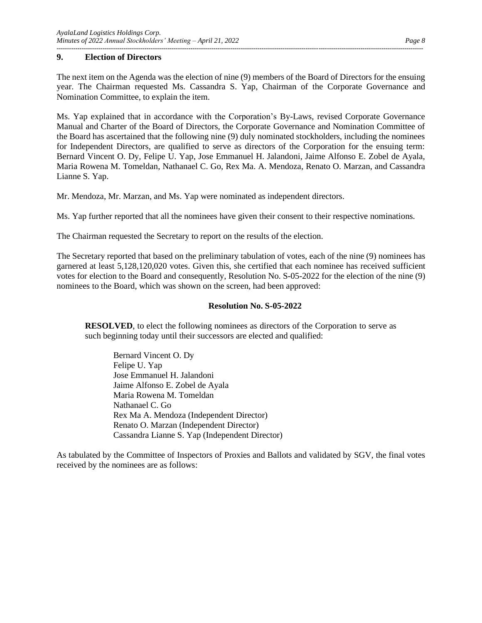## **9. Election of Directors**

The next item on the Agenda was the election of nine (9) members of the Board of Directors for the ensuing year. The Chairman requested Ms. Cassandra S. Yap, Chairman of the Corporate Governance and Nomination Committee, to explain the item.

Ms. Yap explained that in accordance with the Corporation's By-Laws, revised Corporate Governance Manual and Charter of the Board of Directors, the Corporate Governance and Nomination Committee of the Board has ascertained that the following nine (9) duly nominated stockholders, including the nominees for Independent Directors, are qualified to serve as directors of the Corporation for the ensuing term: Bernard Vincent O. Dy, Felipe U. Yap, Jose Emmanuel H. Jalandoni, Jaime Alfonso E. Zobel de Ayala, Maria Rowena M. Tomeldan, Nathanael C. Go, Rex Ma. A. Mendoza, Renato O. Marzan, and Cassandra Lianne S. Yap.

Mr. Mendoza, Mr. Marzan, and Ms. Yap were nominated as independent directors.

Ms. Yap further reported that all the nominees have given their consent to their respective nominations.

The Chairman requested the Secretary to report on the results of the election.

The Secretary reported that based on the preliminary tabulation of votes, each of the nine (9) nominees has garnered at least 5,128,120,020 votes. Given this, she certified that each nominee has received sufficient votes for election to the Board and consequently, Resolution No. S-05-2022 for the election of the nine (9) nominees to the Board, which was shown on the screen, had been approved:

## **Resolution No. S-05-2022**

**RESOLVED**, to elect the following nominees as directors of the Corporation to serve as such beginning today until their successors are elected and qualified:

Bernard Vincent O. Dy Felipe U. Yap Jose Emmanuel H. Jalandoni Jaime Alfonso E. Zobel de Ayala Maria Rowena M. Tomeldan Nathanael C. Go Rex Ma A. Mendoza (Independent Director) Renato O. Marzan (Independent Director) Cassandra Lianne S. Yap (Independent Director)

As tabulated by the Committee of Inspectors of Proxies and Ballots and validated by SGV, the final votes received by the nominees are as follows: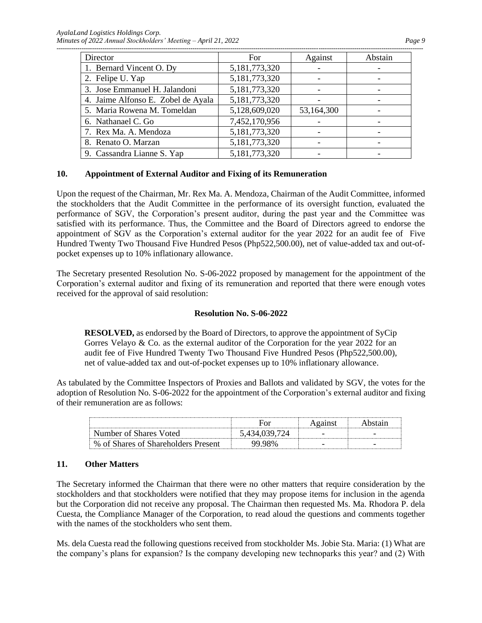*AyalaLand Logistics Holdings Corp. Minutes of 2022 Annual Stockholders' Meeting – April 21, 2022* Page 9

| Director                           | For           | Against    | Abstain |
|------------------------------------|---------------|------------|---------|
| 1. Bernard Vincent O. Dy           | 5,181,773,320 |            |         |
| 2. Felipe U. Yap                   | 5,181,773,320 |            |         |
| 3. Jose Emmanuel H. Jalandoni      | 5,181,773,320 |            |         |
| 4. Jaime Alfonso E. Zobel de Ayala | 5,181,773,320 |            |         |
| 5. Maria Rowena M. Tomeldan        | 5,128,609,020 | 53,164,300 |         |
| 6. Nathanael C. Go                 | 7,452,170,956 |            |         |
| 7. Rex Ma. A. Mendoza              | 5,181,773,320 |            |         |
| 8. Renato O. Marzan                | 5,181,773,320 |            |         |
| 9. Cassandra Lianne S. Yap         | 5,181,773,320 |            |         |

#### **10. Appointment of External Auditor and Fixing of its Remuneration**

Upon the request of the Chairman, Mr. Rex Ma. A. Mendoza, Chairman of the Audit Committee, informed the stockholders that the Audit Committee in the performance of its oversight function, evaluated the performance of SGV, the Corporation's present auditor, during the past year and the Committee was satisfied with its performance. Thus, the Committee and the Board of Directors agreed to endorse the appointment of SGV as the Corporation's external auditor for the year 2022 for an audit fee of Five Hundred Twenty Two Thousand Five Hundred Pesos (Php522,500.00), net of value-added tax and out-ofpocket expenses up to 10% inflationary allowance.

The Secretary presented Resolution No. S-06-2022 proposed by management for the appointment of the Corporation's external auditor and fixing of its remuneration and reported that there were enough votes received for the approval of said resolution:

#### **Resolution No. S-06-2022**

**RESOLVED,** as endorsed by the Board of Directors, to approve the appointment of SyCip Gorres Velayo  $\&$  Co. as the external auditor of the Corporation for the year 2022 for an audit fee of Five Hundred Twenty Two Thousand Five Hundred Pesos (Php522,500.00), net of value-added tax and out-of-pocket expenses up to 10% inflationary allowance.

As tabulated by the Committee Inspectors of Proxies and Ballots and validated by SGV, the votes for the adoption of Resolution No. S-06-2022 for the appointment of the Corporation's external auditor and fixing of their remuneration are as follows:

| Number of Shares Voted              | 434 039 724    |  |
|-------------------------------------|----------------|--|
| % of Shares of Shareholders Present | <u>'Y YX% </u> |  |

#### **11. Other Matters**

The Secretary informed the Chairman that there were no other matters that require consideration by the stockholders and that stockholders were notified that they may propose items for inclusion in the agenda but the Corporation did not receive any proposal. The Chairman then requested Ms. Ma. Rhodora P. dela Cuesta, the Compliance Manager of the Corporation, to read aloud the questions and comments together with the names of the stockholders who sent them.

Ms. dela Cuesta read the following questions received from stockholder Ms. Jobie Sta. Maria: (1) What are the company's plans for expansion? Is the company developing new technoparks this year? and (2) With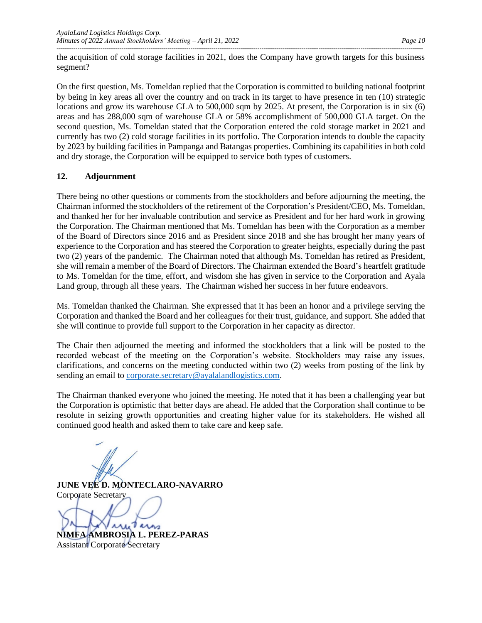the acquisition of cold storage facilities in 2021, does the Company have growth targets for this business segment?

On the first question, Ms. Tomeldan replied that the Corporation is committed to building national footprint by being in key areas all over the country and on track in its target to have presence in ten (10) strategic locations and grow its warehouse GLA to 500,000 sqm by 2025. At present, the Corporation is in six (6) areas and has 288,000 sqm of warehouse GLA or 58% accomplishment of 500,000 GLA target. On the second question, Ms. Tomeldan stated that the Corporation entered the cold storage market in 2021 and currently has two (2) cold storage facilities in its portfolio. The Corporation intends to double the capacity by 2023 by building facilities in Pampanga and Batangas properties. Combining its capabilities in both cold and dry storage, the Corporation will be equipped to service both types of customers.

## **12. Adjournment**

There being no other questions or comments from the stockholders and before adjourning the meeting, the Chairman informed the stockholders of the retirement of the Corporation's President/CEO, Ms. Tomeldan, and thanked her for her invaluable contribution and service as President and for her hard work in growing the Corporation. The Chairman mentioned that Ms. Tomeldan has been with the Corporation as a member of the Board of Directors since 2016 and as President since 2018 and she has brought her many years of experience to the Corporation and has steered the Corporation to greater heights, especially during the past two (2) years of the pandemic. The Chairman noted that although Ms. Tomeldan has retired as President, she will remain a member of the Board of Directors. The Chairman extended the Board's heartfelt gratitude to Ms. Tomeldan for the time, effort, and wisdom she has given in service to the Corporation and Ayala Land group, through all these years. The Chairman wished her success in her future endeavors.

Ms. Tomeldan thanked the Chairman. She expressed that it has been an honor and a privilege serving the Corporation and thanked the Board and her colleagues for their trust, guidance, and support. She added that she will continue to provide full support to the Corporation in her capacity as director.

The Chair then adjourned the meeting and informed the stockholders that a link will be posted to the recorded webcast of the meeting on the Corporation's website. Stockholders may raise any issues, clarifications, and concerns on the meeting conducted within two (2) weeks from posting of the link by sending an email to [corporate.secretary@ayalalandlogistics.com.](mailto:corporate.secretary@ayalalandlogistics.com)

The Chairman thanked everyone who joined the meeting. He noted that it has been a challenging year but the Corporation is optimistic that better days are ahead. He added that the Corporation shall continue to be resolute in seizing growth opportunities and creating higher value for its stakeholders. He wished all continued good health and asked them to take care and keep safe.

**JUNE VEE D. MONTECLARO-NAVARRO** Corporate Secretary

univers

**NIMFA AMBROSIA L. PEREZ-PARAS** Assistant Corporate Secretary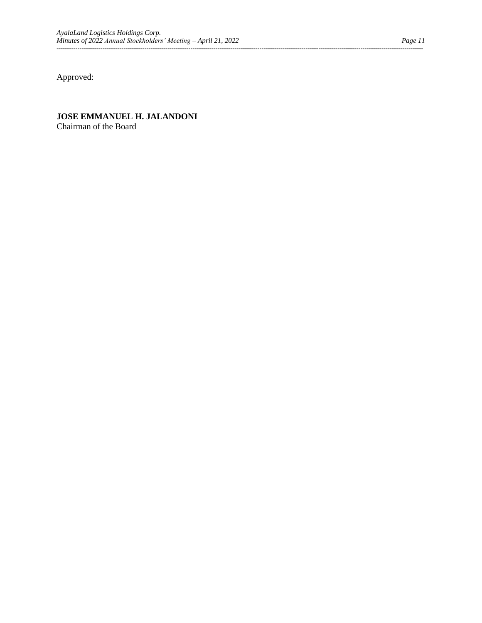Approved:

# **JOSE EMMANUEL H. JALANDONI**

Chairman of the Board